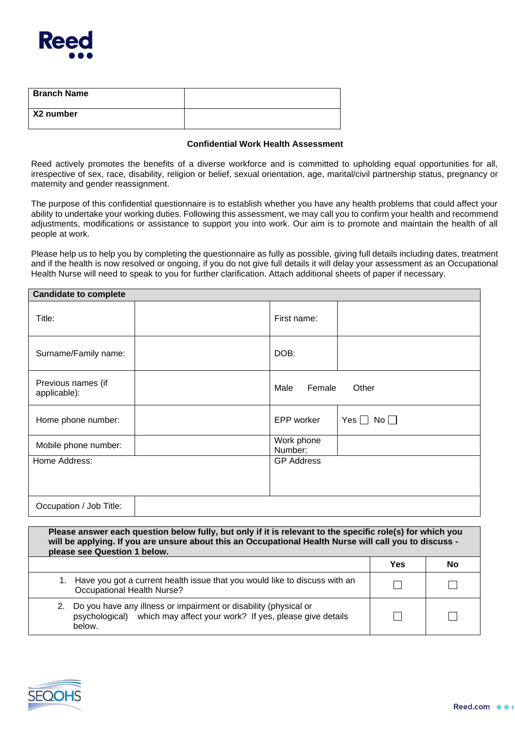

| <b>Branch Name</b> |  |
|--------------------|--|
| X2 number          |  |

#### **Confidential Work Health Assessment**

Reed actively promotes the benefits of a diverse workforce and is committed to upholding equal opportunities for all, irrespective of sex, race, disability, religion or belief, sexual orientation, age, marital/civil partnership status, pregnancy or maternity and gender reassignment.

The purpose of this confidential questionnaire is to establish whether you have any health problems that could affect your ability to undertake your working duties. Following this assessment, we may call you to confirm your health and recommend adjustments, modifications or assistance to support you into work. Our aim is to promote and maintain the health of all people at work.

Please help us to help you by completing the questionnaire as fully as possible, giving full details including dates, treatment and if the health is now resolved or ongoing, if you do not give full details it will delay your assessment as an Occupational Health Nurse will need to speak to you for further clarification. Attach additional sheets of paper if necessary.

| <b>Candidate to complete</b>       |                                    |
|------------------------------------|------------------------------------|
| Title:                             | First name:                        |
| Surname/Family name:               | DOB:                               |
| Previous names (if<br>applicable): | Male<br>Female<br>Other            |
| Home phone number:                 | EPP worker<br>Yes $\Box$ No $\Box$ |
| Mobile phone number:               | Work phone<br>Number:              |
| Home Address:                      | <b>GP Address</b>                  |
|                                    |                                    |
| Occupation / Job Title:            |                                    |

| Please answer each question below fully, but only if it is relevant to the specific role(s) for which you<br>will be applying. If you are unsure about this an Occupational Health Nurse will call you to discuss -<br>please see Question 1 below. |     |           |  |
|-----------------------------------------------------------------------------------------------------------------------------------------------------------------------------------------------------------------------------------------------------|-----|-----------|--|
|                                                                                                                                                                                                                                                     | Yes | <b>No</b> |  |
| 1. Have you got a current health issue that you would like to discuss with an<br><b>Occupational Health Nurse?</b>                                                                                                                                  |     |           |  |
| 2. Do you have any illness or impairment or disability (physical or<br>psychological) which may affect your work? If yes, please give details<br>below.                                                                                             |     |           |  |

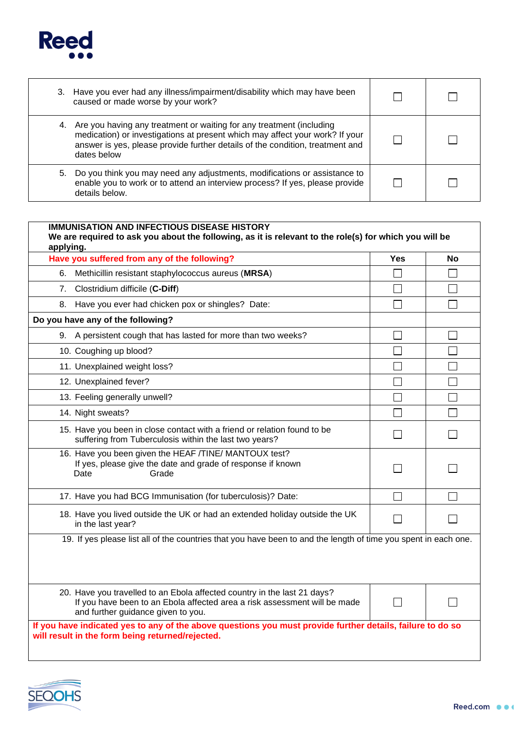

| 3. Have you ever had any illness/impairment/disability which may have been<br>caused or made worse by your work?                                                                                                                                        |  |
|---------------------------------------------------------------------------------------------------------------------------------------------------------------------------------------------------------------------------------------------------------|--|
| 4. Are you having any treatment or waiting for any treatment (including<br>medication) or investigations at present which may affect your work? If your<br>answer is yes, please provide further details of the condition, treatment and<br>dates below |  |
| 5. Do you think you may need any adjustments, modifications or assistance to<br>enable you to work or to attend an interview process? If yes, please provide<br>details below.                                                                          |  |

| <b>IMMUNISATION AND INFECTIOUS DISEASE HISTORY</b><br>We are required to ask you about the following, as it is relevant to the role(s) for which you will be<br>applying.                   |     |                          |
|---------------------------------------------------------------------------------------------------------------------------------------------------------------------------------------------|-----|--------------------------|
| Have you suffered from any of the following?                                                                                                                                                | Yes | <b>No</b>                |
| Methicillin resistant staphylococcus aureus (MRSA)<br>6.                                                                                                                                    |     |                          |
| 7. Clostridium difficile (C-Diff)                                                                                                                                                           |     |                          |
| Have you ever had chicken pox or shingles? Date:<br>8.                                                                                                                                      |     | $\overline{\phantom{a}}$ |
| Do you have any of the following?                                                                                                                                                           |     |                          |
| 9. A persistent cough that has lasted for more than two weeks?                                                                                                                              |     |                          |
| 10. Coughing up blood?                                                                                                                                                                      |     |                          |
| 11. Unexplained weight loss?                                                                                                                                                                |     |                          |
| 12. Unexplained fever?                                                                                                                                                                      |     | $\Box$                   |
| 13. Feeling generally unwell?                                                                                                                                                               |     | $\Box$                   |
| 14. Night sweats?                                                                                                                                                                           |     | $\Box$                   |
| 15. Have you been in close contact with a friend or relation found to be<br>suffering from Tuberculosis within the last two years?                                                          |     |                          |
| 16. Have you been given the HEAF /TINE/ MANTOUX test?<br>If yes, please give the date and grade of response if known<br>Date<br>Grade                                                       |     |                          |
| 17. Have you had BCG Immunisation (for tuberculosis)? Date:                                                                                                                                 |     |                          |
| 18. Have you lived outside the UK or had an extended holiday outside the UK<br>in the last year?                                                                                            |     |                          |
| 19. If yes please list all of the countries that you have been to and the length of time you spent in each one.                                                                             |     |                          |
| 20. Have you travelled to an Ebola affected country in the last 21 days?<br>If you have been to an Ebola affected area a risk assessment will be made<br>and further guidance given to you. |     |                          |
| If you have indicated yes to any of the above questions you must provide further details, failure to do so<br>will result in the form being returned/rejected.                              |     |                          |

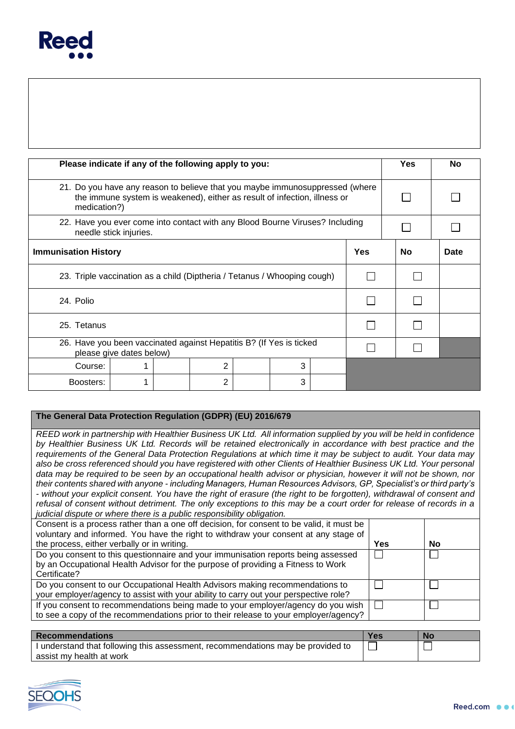

|                                                                                                 | Please indicate if any of the following apply to you:                                                                                                                     |  |  |  |  |  | <b>Yes</b> | <b>No</b> |  |
|-------------------------------------------------------------------------------------------------|---------------------------------------------------------------------------------------------------------------------------------------------------------------------------|--|--|--|--|--|------------|-----------|--|
|                                                                                                 | 21. Do you have any reason to believe that you maybe immunosuppressed (where<br>the immune system is weakened), either as result of infection, illness or<br>medication?) |  |  |  |  |  |            |           |  |
| 22. Have you ever come into contact with any Blood Bourne Viruses? Including                    | needle stick injuries.                                                                                                                                                    |  |  |  |  |  |            |           |  |
|                                                                                                 | Yes<br><b>Immunisation History</b>                                                                                                                                        |  |  |  |  |  | No         | Date      |  |
|                                                                                                 | 23. Triple vaccination as a child (Diptheria / Tetanus / Whooping cough)                                                                                                  |  |  |  |  |  |            |           |  |
| 24. Polio                                                                                       |                                                                                                                                                                           |  |  |  |  |  |            |           |  |
| 25. Tetanus                                                                                     |                                                                                                                                                                           |  |  |  |  |  |            |           |  |
| 26. Have you been vaccinated against Hepatitis B? (If Yes is ticked<br>please give dates below) |                                                                                                                                                                           |  |  |  |  |  |            |           |  |
| Course:                                                                                         | 3<br>2                                                                                                                                                                    |  |  |  |  |  |            |           |  |
| Boosters:                                                                                       | 3<br>2                                                                                                                                                                    |  |  |  |  |  |            |           |  |

# **The General Data Protection Regulation (GDPR) (EU) 2016/679**

*REED work in partnership with Healthier Business UK Ltd. All information supplied by you will be held in confidence by Healthier Business UK Ltd. Records will be retained electronically in accordance with best practice and the requirements of the General Data Protection Regulations at which time it may be subject to audit. Your data may*  also be cross referenced should you have registered with other Clients of Healthier Business UK Ltd. Your personal *data may be required to be seen by an occupational health advisor or physician, however it will not be shown, nor their contents shared with anyone - including Managers, Human Resources Advisors, GP, Specialist's or third party's - without your explicit consent. You have the right of erasure (the right to be forgotten), withdrawal of consent and refusal of consent without detriment. The only exceptions to this may be a court order for release of records in a judicial dispute or where there is a public responsibility obligation.* Consent is a process rather than a one off decision, for consent to be valid, it must be voluntary and informed. You have the right to withdraw your consent at any stage of the process, either verbally or in writing. **Yes No** Do you consent to this questionnaire and your immunisation reports being assessed  $\Box$ by an Occupational Health Advisor for the purpose of providing a Fitness to Work Certificate? Do you consent to our Occupational Health Advisors making recommendations to  $\perp$  $\perp$ 

your employer/agency to assist with your ability to carry out your perspective role? If you consent to recommendations being made to your employer/agency do you wish П  $\Box$ to see a copy of the recommendations prior to their release to your employer/agency?

| <b>Recommendations</b>                                                          | <b>Yes</b> | <b>No</b> |
|---------------------------------------------------------------------------------|------------|-----------|
| I understand that following this assessment, recommendations may be provided to |            |           |
| assist my health at work                                                        |            |           |

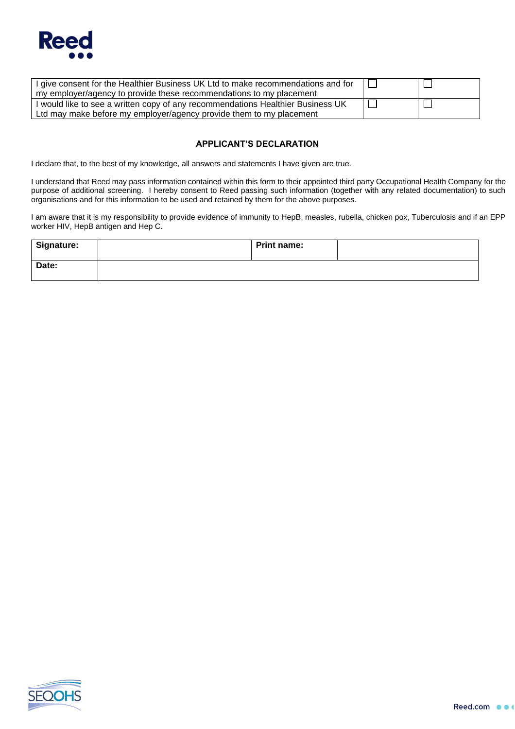

| I give consent for the Healthier Business UK Ltd to make recommendations and for |  |
|----------------------------------------------------------------------------------|--|
| my employer/agency to provide these recommendations to my placement              |  |
| I would like to see a written copy of any recommendations Healthier Business UK  |  |
| Ltd may make before my employer/agency provide them to my placement              |  |

#### **APPLICANT'S DECLARATION**

I declare that, to the best of my knowledge, all answers and statements I have given are true.

I understand that Reed may pass information contained within this form to their appointed third party Occupational Health Company for the purpose of additional screening. I hereby consent to Reed passing such information (together with any related documentation) to such organisations and for this information to be used and retained by them for the above purposes.

I am aware that it is my responsibility to provide evidence of immunity to HepB, measles, rubella, chicken pox, Tuberculosis and if an EPP worker HIV, HepB antigen and Hep C.

| Signature: | <b>Print name:</b> |  |
|------------|--------------------|--|
| Date:      |                    |  |

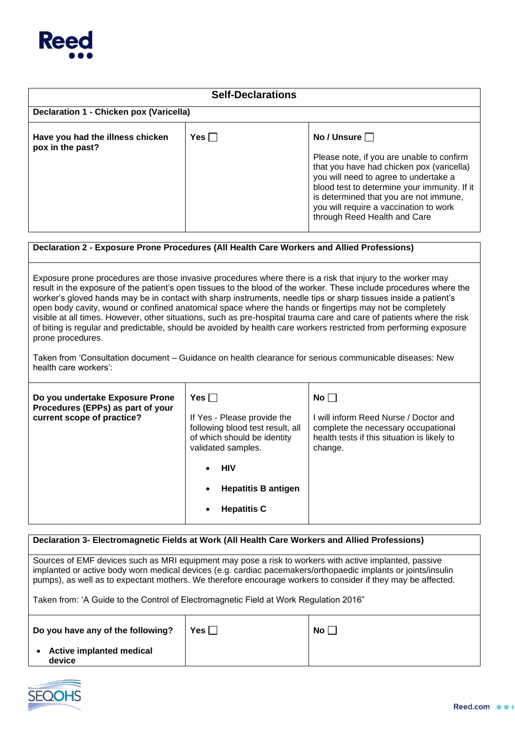

| <b>Self-Declarations</b>                             |                 |                                                                                                                                                                                                                                                                                                     |  |
|------------------------------------------------------|-----------------|-----------------------------------------------------------------------------------------------------------------------------------------------------------------------------------------------------------------------------------------------------------------------------------------------------|--|
| Declaration 1 - Chicken pox (Varicella)              |                 |                                                                                                                                                                                                                                                                                                     |  |
| Have you had the illness chicken<br>pox in the past? | $Yes \mid \mid$ | No / Unsure $\Box$                                                                                                                                                                                                                                                                                  |  |
|                                                      |                 | Please note, if you are unable to confirm<br>that you have had chicken pox (varicella)<br>you will need to agree to undertake a<br>blood test to determine your immunity. If it<br>is determined that you are not immune,<br>you will require a vaccination to work<br>through Reed Health and Care |  |

### **Declaration 2 - Exposure Prone Procedures (All Health Care Workers and Allied Professions)**

Exposure prone procedures are those invasive procedures where there is a risk that injury to the worker may result in the exposure of the patient's open tissues to the blood of the worker. These include procedures where the worker's gloved hands may be in contact with sharp instruments, needle tips or sharp tissues inside a patient's open body cavity, wound or confined anatomical space where the hands or fingertips may not be completely visible at all times. However, other situations, such as pre-hospital trauma care and care of patients where the risk of biting is regular and predictable, should be avoided by health care workers restricted from performing exposure prone procedures.

Taken from 'Consultation document – Guidance on health clearance for serious communicable diseases: New health care workers':

| Do you undertake Exposure Prone<br>Procedures (EPPs) as part of your<br>current scope of practice? | Yes $\Box$<br>If Yes - Please provide the<br>following blood test result, all<br>of which should be identity<br>validated samples. | $No \Box$<br>I will inform Reed Nurse / Doctor and<br>complete the necessary occupational<br>health tests if this situation is likely to<br>change. |
|----------------------------------------------------------------------------------------------------|------------------------------------------------------------------------------------------------------------------------------------|-----------------------------------------------------------------------------------------------------------------------------------------------------|
|                                                                                                    | <b>HIV</b><br><b>Hepatitis B antigen</b><br><b>Hepatitis C</b>                                                                     |                                                                                                                                                     |

| Declaration 3- Electromagnetic Fields at Work (All Health Care Workers and Allied Professions)                                                                                                                                                                                                                                          |  |  |  |  |  |
|-----------------------------------------------------------------------------------------------------------------------------------------------------------------------------------------------------------------------------------------------------------------------------------------------------------------------------------------|--|--|--|--|--|
| Sources of EMF devices such as MRI equipment may pose a risk to workers with active implanted, passive<br>implanted or active body worn medical devices (e.g. cardiac pacemakers/orthopaedic implants or joints/insulin<br>pumps), as well as to expectant mothers. We therefore encourage workers to consider if they may be affected. |  |  |  |  |  |
| Taken from: 'A Guide to the Control of Electromagnetic Field at Work Regulation 2016"                                                                                                                                                                                                                                                   |  |  |  |  |  |
| Yes $\Box$<br>$No \Box$<br>Do you have any of the following?                                                                                                                                                                                                                                                                            |  |  |  |  |  |
| <b>Active implanted medical</b><br>device                                                                                                                                                                                                                                                                                               |  |  |  |  |  |